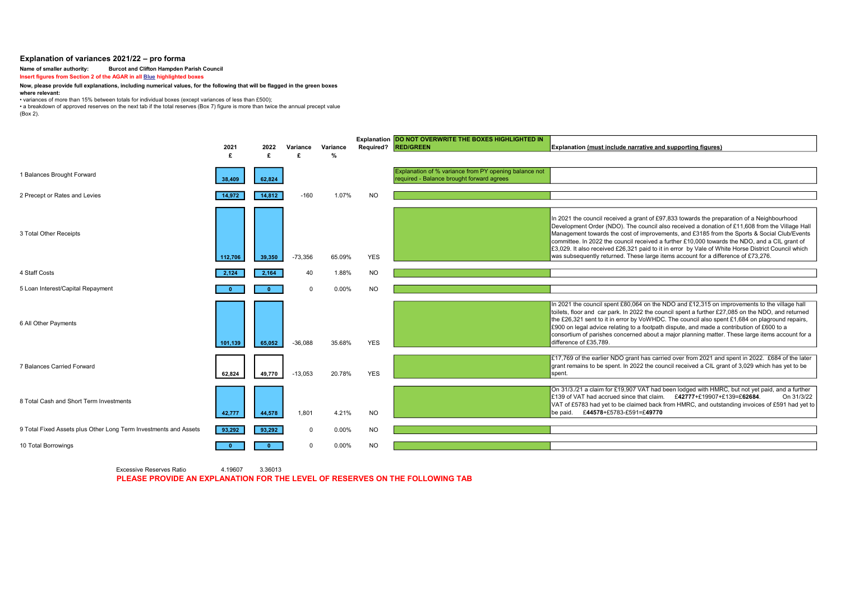## Explanation of variances 2021/22 – pro forma

### Name of smaller authority: Burcot and Clifton Hampden Parish Council

Insert figures from Section 2 of the AGAR in all **Blue highlighted boxes** 

#### Now, please provide full explanations, including numerical values, for the following that will be flagged in the green boxes

#### where relevant:

• variances of more than 15% between totals for individual boxes (except variances of less than £500);

• a breakdown of approved reserves on the next tab if the total reserves (Box 7) figure is more than twice the annual precept value

(Box 2).

|                                                                  | 2021<br>£ | 2022<br>£ | Variance  | Variance<br>$\frac{0}{2}$ | <b>Required?</b> | Explanation DO NOT OVERWRITE THE BOXES HIGHLIGHTED IN<br><b>RED/GREEN</b>                          | <b>Explanation (must include narrative and supporting figures)</b>                                                                                                                                                                                                                                                                                                                                                                                                                                                                                                                      |
|------------------------------------------------------------------|-----------|-----------|-----------|---------------------------|------------------|----------------------------------------------------------------------------------------------------|-----------------------------------------------------------------------------------------------------------------------------------------------------------------------------------------------------------------------------------------------------------------------------------------------------------------------------------------------------------------------------------------------------------------------------------------------------------------------------------------------------------------------------------------------------------------------------------------|
| 1 Balances Brought Forward                                       | 38,409    | 62.824    |           |                           |                  | Explanation of % variance from PY opening balance not<br>required - Balance brought forward agrees |                                                                                                                                                                                                                                                                                                                                                                                                                                                                                                                                                                                         |
| 2 Precept or Rates and Levies                                    | 14,972    | 14,812    | $-160$    | 1.07%                     | <b>NO</b>        |                                                                                                    |                                                                                                                                                                                                                                                                                                                                                                                                                                                                                                                                                                                         |
| 3 Total Other Receipts                                           | 112,706   | 39,350    | $-73,356$ | 65.09%                    | <b>YES</b>       |                                                                                                    | In 2021 the council received a grant of £97,833 towards the preparation of a Neighbourhood<br>Development Order (NDO). The council also received a donation of £11,608 from the Village Hall<br>Management towards the cost of improvements, and £3185 from the Sports & Social Club/Events<br>committee. In 2022 the council received a further £10,000 towards the NDO, and a CIL grant of<br>£3,029. It also received £26,321 paid to it in error by Vale of White Horse District Council which<br>was subsequently returned. These large items account for a difference of £73,276. |
| 4 Staff Costs                                                    | 2.124     | 2,164     | 40        | 1.88%                     | <b>NO</b>        |                                                                                                    |                                                                                                                                                                                                                                                                                                                                                                                                                                                                                                                                                                                         |
| 5 Loan Interest/Capital Repayment                                |           |           |           |                           |                  |                                                                                                    |                                                                                                                                                                                                                                                                                                                                                                                                                                                                                                                                                                                         |
|                                                                  |           |           | $\Omega$  | 0.00%                     | <b>NO</b>        |                                                                                                    |                                                                                                                                                                                                                                                                                                                                                                                                                                                                                                                                                                                         |
| 6 All Other Payments                                             | 101,139   | 65,052    | $-36.088$ | 35.68%                    | <b>YES</b>       |                                                                                                    | In 2021 the council spent £80,064 on the NDO and £12,315 on improvements to the village hall<br>toilets, floor and car park. In 2022 the council spent a further £27,085 on the NDO, and returned<br>the £26,321 sent to it in error by VoWHDC. The council also spent £1,684 on plaground repairs,<br>£900 on legal advice relating to a footpath dispute, and made a contribution of £600 to a<br>consortium of parishes concerned about a major planning matter. These large items account for a<br>difference of £35.789.                                                           |
| 7 Balances Carried Forward                                       | 62,824    | 49,770    | $-13,053$ | 20.78%                    | <b>YES</b>       |                                                                                                    | £17,769 of the earlier NDO grant has carried over from 2021 and spent in 2022. £684 of the later<br>grant remains to be spent. In 2022 the council received a CIL grant of 3,029 which has yet to be<br>spent.                                                                                                                                                                                                                                                                                                                                                                          |
| 8 Total Cash and Short Term Investments                          | 42,777    | 44,578    | 1.801     | 4.21%                     | NO.              |                                                                                                    | On 31/3./21 a claim for £19,907 VAT had been lodged with HMRC, but not yet paid, and a further<br>E139 of VAT had accrued since that claim. $£42777 + £19907 + £139 = £62684$ .<br>On 31/3/22<br>VAT of £5783 had yet to be claimed back from HMRC, and outstanding invoices of £591 had yet to<br>be paid. £44578+£5783-£591=£49770                                                                                                                                                                                                                                                    |
| 9 Total Fixed Assets plus Other Long Term Investments and Assets | 93,292    | 93,292    | $\Omega$  | 0.00%                     | <b>NO</b>        |                                                                                                    |                                                                                                                                                                                                                                                                                                                                                                                                                                                                                                                                                                                         |
| 10 Total Borrowings                                              |           |           | $\Omega$  | 0.00%                     | <b>NO</b>        |                                                                                                    |                                                                                                                                                                                                                                                                                                                                                                                                                                                                                                                                                                                         |
|                                                                  |           |           |           |                           |                  |                                                                                                    |                                                                                                                                                                                                                                                                                                                                                                                                                                                                                                                                                                                         |

Excessive Reserves Ratio 4.19607 3.36013 PLEASE PROVIDE AN EXPLANATION FOR THE LEVEL OF RESERVES ON THE FOLLOWING TAB